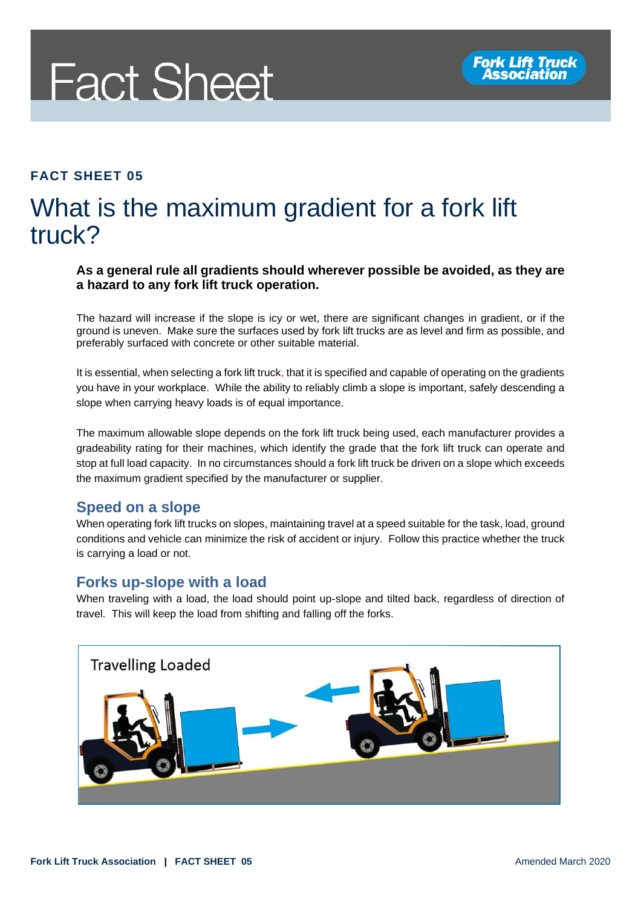# **Fact Sheet**

# **FACT SHEET 05**

# What is the maximum gradient for a fork lift truck?

#### **As a general rule all gradients should wherever possible be avoided, as they are a hazard to any fork lift truck operation.**

The hazard will increase if the slope is icy or wet, there are significant changes in gradient, or if the ground is uneven. Make sure the surfaces used by fork lift trucks are as level and firm as possible, and preferably surfaced with concrete or other suitable material.

It is essential, when selecting a fork lift truck, that it is specified and capable of operating on the gradients you have in your workplace. While the ability to reliably climb a slope is important, safely descending a slope when carrying heavy loads is of equal importance.

The maximum allowable slope depends on the fork lift truck being used, each manufacturer provides a gradeability rating for their machines, which identify the grade that the fork lift truck can operate and stop at full load capacity. In no circumstances should a fork lift truck be driven on a slope which exceeds the maximum gradient specified by the manufacturer or supplier.

## **Speed on a slope**

When operating fork lift trucks on slopes, maintaining travel at a speed suitable for the task, load, ground conditions and vehicle can minimize the risk of accident or injury. Follow this practice whether the truck is carrying a load or not.

## **Forks up-slope with a load**

When traveling with a load, the load should point up-slope and tilted back, regardless of direction of travel. This will keep the load from shifting and falling off the forks.

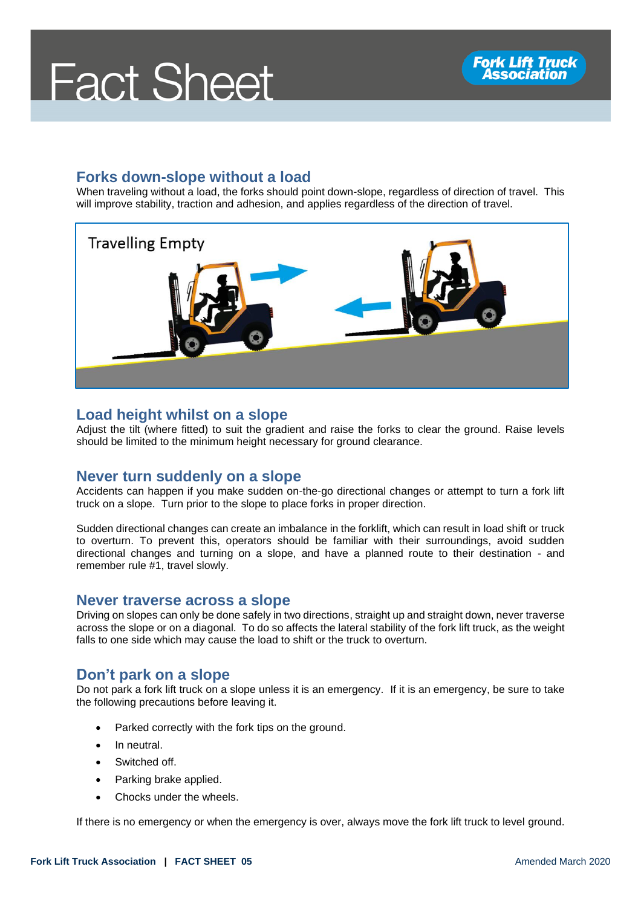# **Fact Sheet**

# **Forks down-slope without a load**

When traveling without a load, the forks should point down-slope, regardless of direction of travel. This will improve stability, traction and adhesion, and applies regardless of the direction of travel.



## **Load height whilst on a slope**

Adjust the tilt (where fitted) to suit the gradient and raise the forks to clear the ground. Raise levels should be limited to the minimum height necessary for ground clearance.

#### **Never turn suddenly on a slope**

Accidents can happen if you make sudden on-the-go directional changes or attempt to turn a fork lift truck on a slope. Turn prior to the slope to place forks in proper direction.

Sudden directional changes can create an imbalance in the forklift, which can result in load shift or truck to overturn. To prevent this, operators should be familiar with their surroundings, avoid sudden directional changes and turning on a slope, and have a planned route to their destination - and remember rule #1, travel slowly.

## **Never traverse across a slope**

Driving on slopes can only be done safely in two directions, straight up and straight down, never traverse across the slope or on a diagonal. To do so affects the lateral stability of the fork lift truck, as the weight falls to one side which may cause the load to shift or the truck to overturn.

# **Don't park on a slope**

Do not park a fork lift truck on a slope unless it is an emergency. If it is an emergency, be sure to take the following precautions before leaving it.

- Parked correctly with the fork tips on the ground.
- In neutral.
- Switched off.
- Parking brake applied.
- Chocks under the wheels.

If there is no emergency or when the emergency is over, always move the fork lift truck to level ground.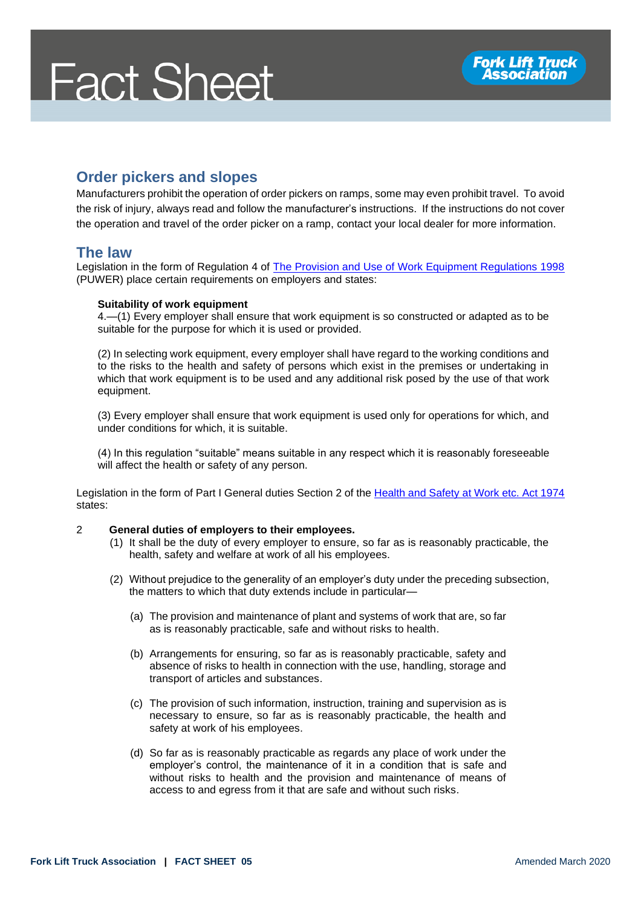# **Fact Sheet**

# **Order pickers and slopes**

Manufacturers prohibit the operation of order pickers on ramps, some may even prohibit travel. To avoid the risk of injury, always read and follow the manufacturer's instructions. If the instructions do not cover the operation and travel of the order picker on a ramp, contact your local dealer for more information.

#### **The law**

Legislation in the form of Regulation 4 of [The Provision and Use of Work Equipment Regulations 1998](http://www.legislation.gov.uk/uksi/1998/2306/regulation/4/made) (PUWER) place certain requirements on employers and states:

#### **Suitability of work equipment**

4.—(1) Every employer shall ensure that work equipment is so constructed or adapted as to be suitable for the purpose for which it is used or provided.

(2) In selecting work equipment, every employer shall have regard to the working conditions and to the risks to the health and safety of persons which exist in the premises or undertaking in which that work equipment is to be used and any additional risk posed by the use of that work equipment.

(3) Every employer shall ensure that work equipment is used only for operations for which, and under conditions for which, it is suitable.

(4) In this regulation "suitable" means suitable in any respect which it is reasonably foreseeable will affect the health or safety of any person.

Legislation in the form of Part I General duties Section 2 of the [Health and Safety at Work etc. Act 1974](http://www.legislation.gov.uk/ukpga/1974/37/section/2) states:

#### 2 **General duties of employers to their employees.**

- (1) It shall be the duty of every employer to ensure, so far as is reasonably practicable, the health, safety and welfare at work of all his employees.
- (2) Without prejudice to the generality of an employer's duty under the preceding subsection, the matters to which that duty extends include in particular—
	- (a) The provision and maintenance of plant and systems of work that are, so far as is reasonably practicable, safe and without risks to health.
	- (b) Arrangements for ensuring, so far as is reasonably practicable, safety and absence of risks to health in connection with the use, handling, storage and transport of articles and substances.
	- (c) The provision of such information, instruction, training and supervision as is necessary to ensure, so far as is reasonably practicable, the health and safety at work of his employees.
	- (d) So far as is reasonably practicable as regards any place of work under the employer's control, the maintenance of it in a condition that is safe and without risks to health and the provision and maintenance of means of access to and egress from it that are safe and without such risks.